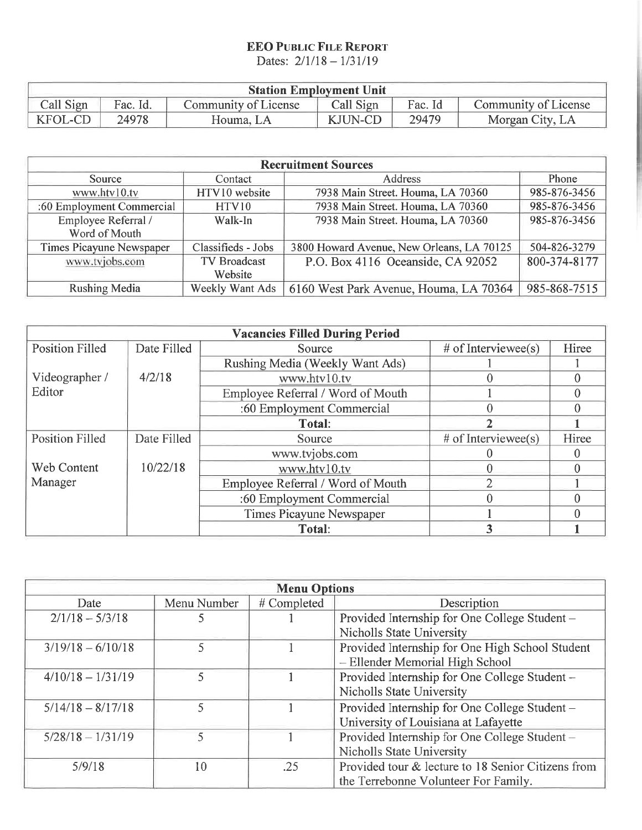## **EEO PUBLIC FILE REPORT**

Dates:  $2/1/18 - 1/31/19$ 

| <b>Station Employment Unit</b> |          |                      |                |         |                      |
|--------------------------------|----------|----------------------|----------------|---------|----------------------|
| Call Sign                      | Fac. Id. | Community of License | Call Sign      | Fac. Id | Community of License |
| <b>KFOL-CD</b>                 | 24978    | Houma, LA            | <b>KJUN-CD</b> | 29479   | Morgan City, LA      |

| <b>Recruitment Sources</b> |                     |                                           |              |
|----------------------------|---------------------|-------------------------------------------|--------------|
| Source                     | Contact             | <b>Address</b>                            | Phone        |
| www.htv10.tv               | HTV10 website       | 7938 Main Street. Houma, LA 70360         | 985-876-3456 |
| :60 Employment Commercial  | <b>HTV10</b>        | 7938 Main Street. Houma, LA 70360         | 985-876-3456 |
| Employee Referral /        | Walk-In             | 7938 Main Street. Houma, LA 70360         | 985-876-3456 |
| Word of Mouth              |                     |                                           |              |
| Times Picayune Newspaper   | Classifieds - Jobs  | 3800 Howard Avenue, New Orleans, LA 70125 | 504-826-3279 |
| www.tvjobs.com             | <b>TV Broadcast</b> | P.O. Box 4116 Oceanside, CA 92052         | 800-374-8177 |
|                            | Website             |                                           |              |
| <b>Rushing Media</b>       | Weekly Want Ads     | 6160 West Park Avenue, Houma, LA 70364    | 985-868-7515 |

|                        |             | <b>Vacancies Filled During Period</b> |                       |       |
|------------------------|-------------|---------------------------------------|-----------------------|-------|
| <b>Position Filled</b> | Date Filled | Source                                | # of Interviewee(s)   | Hiree |
|                        |             | Rushing Media (Weekly Want Ads)       |                       |       |
| Videographer /         | 4/2/18      | www.htv10.tv                          |                       |       |
| Editor                 |             | Employee Referral / Word of Mouth     |                       |       |
|                        |             | :60 Employment Commercial             |                       |       |
|                        |             | <b>Total:</b>                         |                       |       |
| <b>Position Filled</b> | Date Filled | Source                                | $#$ of Interviewee(s) | Hiree |
|                        |             | www.tvjobs.com                        |                       |       |
| <b>Web Content</b>     | 10/22/18    | www.htv10.tv                          |                       |       |
| Manager                |             | Employee Referral / Word of Mouth     |                       |       |
|                        |             | :60 Employment Commercial             |                       |       |
|                        |             | <b>Times Picayune Newspaper</b>       |                       |       |
|                        |             | Total:                                | 3                     |       |

| <b>Menu Options</b> |             |             |                                                    |
|---------------------|-------------|-------------|----------------------------------------------------|
| Date                | Menu Number | # Completed | Description                                        |
| $2/1/18 - 5/3/18$   |             |             | Provided Internship for One College Student -      |
|                     |             |             | Nicholls State University                          |
| $3/19/18 - 6/10/18$ | 5           |             | Provided Internship for One High School Student    |
|                     |             |             | - Ellender Memorial High School                    |
| $4/10/18 - 1/31/19$ |             |             | Provided Internship for One College Student -      |
|                     |             |             | Nicholls State University                          |
| $5/14/18 - 8/17/18$ | 5           |             | Provided Internship for One College Student -      |
|                     |             |             | University of Louisiana at Lafayette               |
| $5/28/18 - 1/31/19$ | 5           |             | Provided Internship for One College Student -      |
|                     |             |             | <b>Nicholls State University</b>                   |
| 5/9/18              | 10          | .25         | Provided tour & lecture to 18 Senior Citizens from |
|                     |             |             | the Terrebonne Volunteer For Family.               |